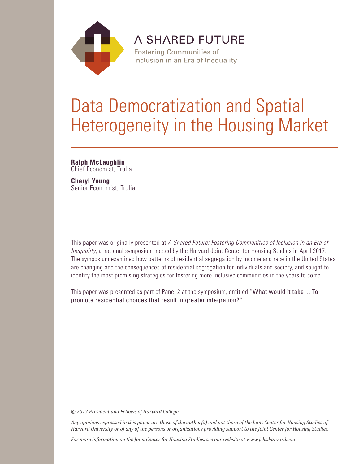

**A SHARED FUTURE** 

**Fostering Communities of** Inclusion in an Era of Inequality

# Data Democratization and Spatial Heterogeneity in the Housing Market

# **Ralph McLaughlin**

Chief Economist, Trulia

# **Cheryl Young** Senior Economist, Trulia

This paper was originally presented at *A Shared Future: Fostering Communities of Inclusion in an Era of Inequality*, a national symposium hosted by the Harvard Joint Center for Housing Studies in April 2017. The symposium examined how patterns of residential segregation by income and race in the United States are changing and the consequences of residential segregation for individuals and society, and sought to identify the most promising strategies for fostering more inclusive communities in the years to come.

This paper was presented as part of Panel 2 at the symposium, entitled "What would it take… To promote residential choices that result in greater integration?"

*© 2017 President and Fellows of Harvard College*

*Any opinions expressed in this paper are those of the author(s) and not those of the Joint Center for Housing Studies of Harvard University or of any of the persons or organizations providing support to the Joint Center for Housing Studies.* 

*For more information on the Joint Center for Housing Studies, see our website at www.jchs.harvard.edu*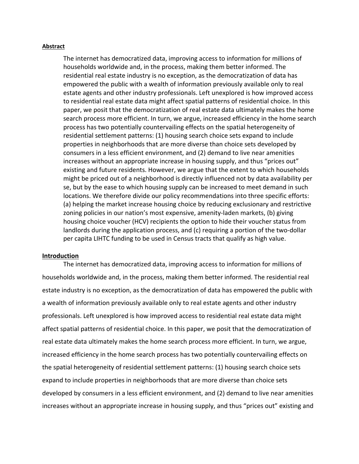#### **Abstract**

The internet has democratized data, improving access to information for millions of households worldwide and, in the process, making them better informed. The residential real estate industry is no exception, as the democratization of data has empowered the public with a wealth of information previously available only to real estate agents and other industry professionals. Left unexplored is how improved access to residential real estate data might affect spatial patterns of residential choice. In this paper, we posit that the democratization of real estate data ultimately makes the home search process more efficient. In turn, we argue, increased efficiency in the home search process has two potentially countervailing effects on the spatial heterogeneity of residential settlement patterns: (1) housing search choice sets expand to include properties in neighborhoods that are more diverse than choice sets developed by consumers in a less efficient environment, and (2) demand to live near amenities increases without an appropriate increase in housing supply, and thus "prices out" existing and future residents. However, we argue that the extent to which households might be priced out of a neighborhood is directly influenced not by data availability per se, but by the ease to which housing supply can be increased to meet demand in such locations. We therefore divide our policy recommendations into three specific efforts: (a) helping the market increase housing choice by reducing exclusionary and restrictive zoning policies in our nation's most expensive, amenity-laden markets, (b) giving housing choice voucher (HCV) recipients the option to hide their voucher status from landlords during the application process, and (c) requiring a portion of the two-dollar per capita LIHTC funding to be used in Census tracts that qualify as high value.

# **Introduction**

The internet has democratized data, improving access to information for millions of households worldwide and, in the process, making them better informed. The residential real estate industry is no exception, as the democratization of data has empowered the public with a wealth of information previously available only to real estate agents and other industry professionals. Left unexplored is how improved access to residential real estate data might affect spatial patterns of residential choice. In this paper, we posit that the democratization of real estate data ultimately makes the home search process more efficient. In turn, we argue, increased efficiency in the home search process has two potentially countervailing effects on the spatial heterogeneity of residential settlement patterns: (1) housing search choice sets expand to include properties in neighborhoods that are more diverse than choice sets developed by consumers in a less efficient environment, and (2) demand to live near amenities increases without an appropriate increase in housing supply, and thus "prices out" existing and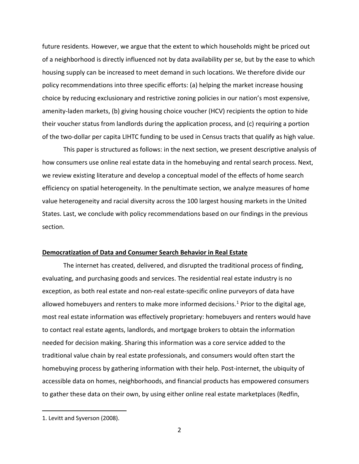future residents. However, we argue that the extent to which households might be priced out of a neighborhood is directly influenced not by data availability per se, but by the ease to which housing supply can be increased to meet demand in such locations. We therefore divide our policy recommendations into three specific efforts: (a) helping the market increase housing choice by reducing exclusionary and restrictive zoning policies in our nation's most expensive, amenity-laden markets, (b) giving housing choice voucher (HCV) recipients the option to hide their voucher status from landlords during the application process, and (c) requiring a portion of the two-dollar per capita LIHTC funding to be used in Census tracts that qualify as high value.

This paper is structured as follows: in the next section, we present descriptive analysis of how consumers use online real estate data in the homebuying and rental search process. Next, we review existing literature and develop a conceptual model of the effects of home search efficiency on spatial heterogeneity. In the penultimate section, we analyze measures of home value heterogeneity and racial diversity across the 100 largest housing markets in the United States. Last, we conclude with policy recommendations based on our findings in the previous section.

## **Democratization of Data and Consumer Search Behavior in Real Estate**

The internet has created, delivered, and disrupted the traditional process of finding, evaluating, and purchasing goods and services. The residential real estate industry is no exception, as both real estate and non-real estate-specific online purveyors of data have allowed homebuyers and renters to make more informed decisions.<sup>[1](#page-3-0)</sup> Prior to the digital age, most real estate information was effectively proprietary: homebuyers and renters would have to contact real estate agents, landlords, and mortgage brokers to obtain the information needed for decision making. Sharing this information was a core service added to the traditional value chain by real estate professionals, and consumers would often start the homebuying process by gathering information with their help. Post-internet, the ubiquity of accessible data on homes, neighborhoods, and financial products has empowered consumers to gather these data on their own, by using either online real estate marketplaces (Redfin,

<span id="page-3-0"></span><sup>1.</sup> Levitt and Syverson (2008).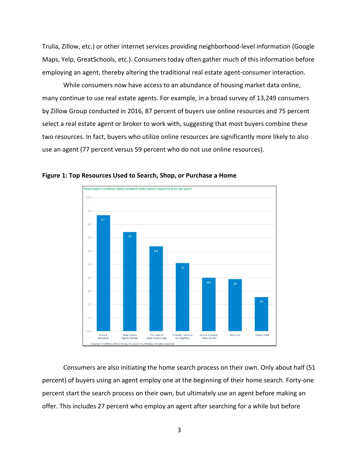Trulia, Zillow, etc.) or other internet services providing neighborhood-level information (Google Maps, Yelp, GreatSchools, etc.). Consumers today often gather much of this information before employing an agent, thereby altering the traditional real estate agent-consumer interaction.

While consumers now have access to an abundance of housing market data online, many continue to use real estate agents. For example, in a broad survey of 13,249 consumers by Zillow Group conducted in 2016, 87 percent of buyers use online resources and 75 percent select a real estate agent or broker to work with, suggesting that most buyers combine these two resources. In fact, buyers who utilize online resources are significantly more likely to also use an agent (77 percent versus 59 percent who do not use online resources).



**Figure 1: Top Resources Used to Search, Shop, or Purchase a Home**

Consumers are also initiating the home search process on their own. Only about half (51 percent) of buyers using an agent employ one at the beginning of their home search. Forty-one percent start the search process on their own, but ultimately use an agent before making an offer. This includes 27 percent who employ an agent after searching for a while but before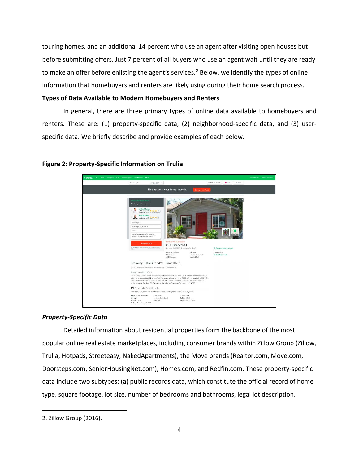touring homes, and an additional 14 percent who use an agent after visiting open houses but before submitting offers. Just 7 percent of all buyers who use an agent wait until they are ready to make an offer before enlisting the agent's services.<sup>[2](#page-5-0)</sup> Below, we identify the types of online information that homebuyers and renters are likely using during their home search process.

# **Types of Data Available to Modern Homebuyers and Renters**

In general, there are three primary types of online data available to homebuyers and renters. These are: (1) property-specific data, (2) neighborhood-specific data, and (3) userspecific data. We briefly describe and provide examples of each below.



# **Figure 2: Property-Specific Information on Trulia**

# *Property-Specific Data*

Detailed information about residential properties form the backbone of the most popular online real estate marketplaces, including consumer brands within Zillow Group (Zillow, Trulia, Hotpads, Streeteasy, NakedApartments), the Move brands (Realtor.com, Move.com, Doorsteps.com, SeniorHousingNet.com), Homes.com, and Redfin.com. These property-specific data include two subtypes: (a) public records data, which constitute the official record of home type, square footage, lot size, number of bedrooms and bathrooms, legal lot description,

<span id="page-5-0"></span><sup>2.</sup> Zillow Group (2016).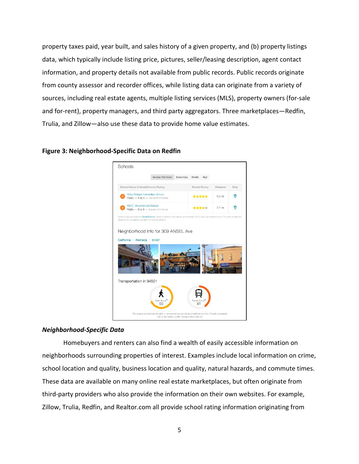property taxes paid, year built, and sales history of a given property, and (b) property listings data, which typically include listing price, pictures, seller/leasing description, agent contact information, and property details not available from public records. Public records originate from county assessor and recorder offices, while listing data can originate from a variety of sources, including real estate agents, multiple listing services (MLS), property owners (for-sale and for-rent), property managers, and third party aggregators. Three marketplaces—Redfin, Trulia, and Zillow—also use these data to provide home value estimates.



#### **Figure 3: Neighborhood-Specific Data on Redfin**

#### *Neighborhood-Specific Data*

Homebuyers and renters can also find a wealth of easily accessible information on neighborhoods surrounding properties of interest. Examples include local information on crime, school location and quality, business location and quality, natural hazards, and commute times. These data are available on many online real estate marketplaces, but often originate from third-party providers who also provide the information on their own websites. For example, Zillow, Trulia, Redfin, and Realtor.com all provide school rating information originating from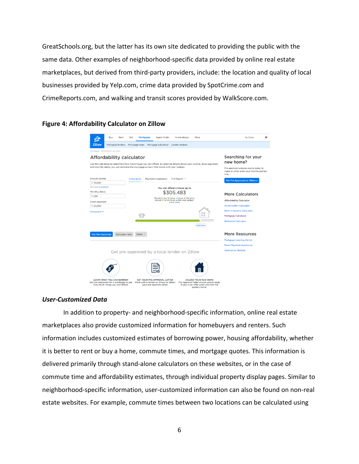GreatSchools.org, but the latter has its own site dedicated to providing the public with the same data. Other examples of neighborhood-specific data provided by online real estate marketplaces, but derived from third-party providers, include: the location and quality of local businesses provided by Yelp.com, crime data provided by SpotCrime.com and CrimeReports.com, and walking and transit scores provided by WalkScore.com.

# **Figure 4: Affordability Calculator on Zillow**

| Buy<br>Rent                                                                                                                                                                                                                                               | Sell           | Agent finder<br><b>Mortgages</b>                                                                           | Home design                  | More                                                                                                                           | 0<br>My Zillow                                                                                                             |
|-----------------------------------------------------------------------------------------------------------------------------------------------------------------------------------------------------------------------------------------------------------|----------------|------------------------------------------------------------------------------------------------------------|------------------------------|--------------------------------------------------------------------------------------------------------------------------------|----------------------------------------------------------------------------------------------------------------------------|
| <b>Zillow</b><br>Mortgage lenders                                                                                                                                                                                                                         | Mortgage rates | Mortgage calculator                                                                                        | Lender reviews               |                                                                                                                                |                                                                                                                            |
| Mortgages - Affordability calculator                                                                                                                                                                                                                      |                |                                                                                                            |                              |                                                                                                                                |                                                                                                                            |
| Affordability calculator<br>Use this calculator to determine how much house you can afford. By entering details about your income, down payment,<br>and monthly debts, you can estimate the mortgage amount that works with your budget.<br>Annual income | Home price     | Payment breakdown                                                                                          | Full Report 2                |                                                                                                                                | Searching for your<br>new home?<br>Pre-approval ensures you're ready to<br>make an offer when you find the perfect<br>one. |
| \$70,000                                                                                                                                                                                                                                                  |                |                                                                                                            |                              |                                                                                                                                | <b>Get Pre-Approved on Zillow »</b>                                                                                        |
| Calculate by payment                                                                                                                                                                                                                                      |                |                                                                                                            | You can afford a house up to |                                                                                                                                |                                                                                                                            |
| Monthly debts                                                                                                                                                                                                                                             | \$305,483      |                                                                                                            |                              |                                                                                                                                | More Calculators                                                                                                           |
| \$250                                                                                                                                                                                                                                                     |                | Based on your income, a house at this price<br>should fit comfortably within your budget.<br>Learn more    |                              |                                                                                                                                |                                                                                                                            |
| Down payment                                                                                                                                                                                                                                              |                |                                                                                                            |                              |                                                                                                                                | <b>Affordability Calculator</b>                                                                                            |
| \$20,000                                                                                                                                                                                                                                                  |                |                                                                                                            |                              |                                                                                                                                | <b>Amortization Calculator</b>                                                                                             |
| Advanced V                                                                                                                                                                                                                                                | ⅢⅢ             |                                                                                                            |                              | <b>Debt-to-Income Calculator</b>                                                                                               |                                                                                                                            |
|                                                                                                                                                                                                                                                           |                |                                                                                                            |                              | n n                                                                                                                            | Mortgage Calculator                                                                                                        |
|                                                                                                                                                                                                                                                           |                |                                                                                                            |                              | \$1,837/mo                                                                                                                     | <b>Refinance Calculator</b>                                                                                                |
| <b>Get Pre-Approved</b><br>Calculator help                                                                                                                                                                                                                | Share *        |                                                                                                            |                              |                                                                                                                                | <b>More Resources</b>                                                                                                      |
|                                                                                                                                                                                                                                                           |                |                                                                                                            |                              |                                                                                                                                | Mortgage Learning Center                                                                                                   |
|                                                                                                                                                                                                                                                           |                |                                                                                                            |                              |                                                                                                                                | <b>Down Payment Assistance</b>                                                                                             |
|                                                                                                                                                                                                                                                           |                |                                                                                                            |                              |                                                                                                                                | Owning vs. Renting                                                                                                         |
|                                                                                                                                                                                                                                                           |                | Get pre-approved by a local lender on Zillow                                                               |                              |                                                                                                                                |                                                                                                                            |
|                                                                                                                                                                                                                                                           |                |                                                                                                            |                              |                                                                                                                                |                                                                                                                            |
| <b>LEARN WHAT YOU CAN BORROW</b><br>Get pre-approved for a mortgage to see<br>how much house you can afford.                                                                                                                                              |                | <b>GET YOUR PRE-APPROVAL LETTER</b><br>Work with a lender on Zillow to obtain<br>vour pre-approval letter. |                              | <b>UNLOCK YOUR NEW HOME</b><br>Pre-approval helps ensure you're ready<br>to put in an offer when you find the<br>perfect home. |                                                                                                                            |

# *User-Customized Data*

In addition to property- and neighborhood-specific information, online real estate marketplaces also provide customized information for homebuyers and renters. Such information includes customized estimates of borrowing power, housing affordability, whether it is better to rent or buy a home, commute times, and mortgage quotes. This information is delivered primarily through stand-alone calculators on these websites, or in the case of commute time and affordability estimates, through individual property display pages. Similar to neighborhood-specific information, user-customized information can also be found on non-real estate websites. For example, commute times between two locations can be calculated using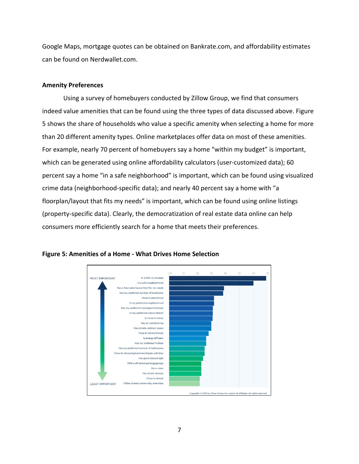Google Maps, mortgage quotes can be obtained on Bankrate.com, and affordability estimates can be found on Nerdwallet.com.

# **Amenity Preferences**

Using a survey of homebuyers conducted by Zillow Group, we find that consumers indeed value amenities that can be found using the three types of data discussed above. Figure 5 shows the share of households who value a specific amenity when selecting a home for more than 20 different amenity types. Online marketplaces offer data on most of these amenities. For example, nearly 70 percent of homebuyers say a home "within my budget" is important, which can be generated using online affordability calculators (user-customized data); 60 percent say a home "in a safe neighborhood" is important, which can be found using visualized crime data (neighborhood-specific data); and nearly 40 percent say a home with "a floorplan/layout that fits my needs" is important, which can be found using online listings (property-specific data). Clearly, the democratization of real estate data online can help consumers more efficiently search for a home that meets their preferences.



# **Figure 5: Amenities of a Home - What Drives Home Selection**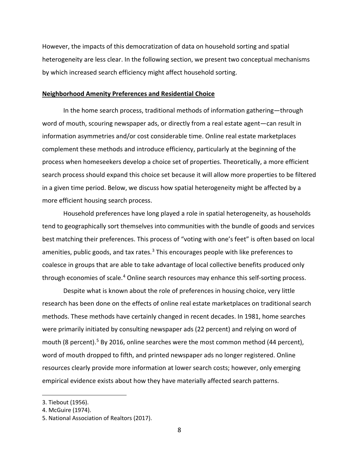However, the impacts of this democratization of data on household sorting and spatial heterogeneity are less clear. In the following section, we present two conceptual mechanisms by which increased search efficiency might affect household sorting.

#### **Neighborhood Amenity Preferences and Residential Choice**

In the home search process, traditional methods of information gathering—through word of mouth, scouring newspaper ads, or directly from a real estate agent—can result in information asymmetries and/or cost considerable time. Online real estate marketplaces complement these methods and introduce efficiency, particularly at the beginning of the process when homeseekers develop a choice set of properties. Theoretically, a more efficient search process should expand this choice set because it will allow more properties to be filtered in a given time period. Below, we discuss how spatial heterogeneity might be affected by a more efficient housing search process.

Household preferences have long played a role in spatial heterogeneity, as households tend to geographically sort themselves into communities with the bundle of goods and services best matching their preferences. This process of "voting with one's feet" is often based on local amenities, public goods, and tax rates.<sup>[3](#page-9-0)</sup> This encourages people with like preferences to coalesce in groups that are able to take advantage of local collective benefits produced only through economies of scale.<sup>[4](#page-9-1)</sup> Online search resources may enhance this self-sorting process.

Despite what is known about the role of preferences in housing choice, very little research has been done on the effects of online real estate marketplaces on traditional search methods. These methods have certainly changed in recent decades. In 1981, home searches were primarily initiated by consulting newspaper ads (22 percent) and relying on word of mouth (8 percent).<sup>[5](#page-9-2)</sup> By 2016, online searches were the most common method (44 percent), word of mouth dropped to fifth, and printed newspaper ads no longer registered. Online resources clearly provide more information at lower search costs; however, only emerging empirical evidence exists about how they have materially affected search patterns.

<span id="page-9-0"></span><sup>3.</sup> Tiebout (1956).

<span id="page-9-1"></span><sup>4.</sup> McGuire (1974).

<span id="page-9-2"></span><sup>5.</sup> National Association of Realtors (2017).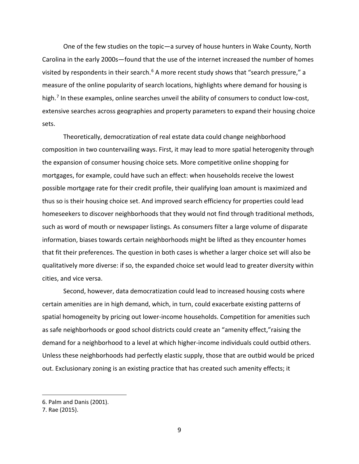One of the few studies on the topic—a survey of house hunters in Wake County, North Carolina in the early 2000s—found that the use of the internet increased the number of homes visited by respondents in their search.<sup>[6](#page-10-0)</sup> A more recent study shows that "search pressure," a measure of the online popularity of search locations, highlights where demand for housing is high.<sup>[7](#page-10-1)</sup> In these examples, online searches unveil the ability of consumers to conduct low-cost, extensive searches across geographies and property parameters to expand their housing choice sets.

Theoretically, democratization of real estate data could change neighborhood composition in two countervailing ways. First, it may lead to more spatial heterogenity through the expansion of consumer housing choice sets. More competitive online shopping for mortgages, for example, could have such an effect: when households receive the lowest possible mortgage rate for their credit profile, their qualifying loan amount is maximized and thus so is their housing choice set. And improved search efficiency for properties could lead homeseekers to discover neighborhoods that they would not find through traditional methods, such as word of mouth or newspaper listings. As consumers filter a large volume of disparate information, biases towards certain neighborhoods might be lifted as they encounter homes that fit their preferences. The question in both cases is whether a larger choice set will also be qualitatively more diverse: if so, the expanded choice set would lead to greater diversity within cities, and vice versa.

Second, however, data democratization could lead to increased housing costs where certain amenities are in high demand, which, in turn, could exacerbate existing patterns of spatial homogeneity by pricing out lower-income households. Competition for amenities such as safe neighborhoods or good school districts could create an "amenity effect,"raising the demand for a neighborhood to a level at which higher-income individuals could outbid others. Unless these neighborhoods had perfectly elastic supply, those that are outbid would be priced out. Exclusionary zoning is an existing practice that has created such amenity effects; it

<span id="page-10-0"></span><sup>6.</sup> Palm and Danis (2001).

<span id="page-10-1"></span><sup>7.</sup> Rae (2015).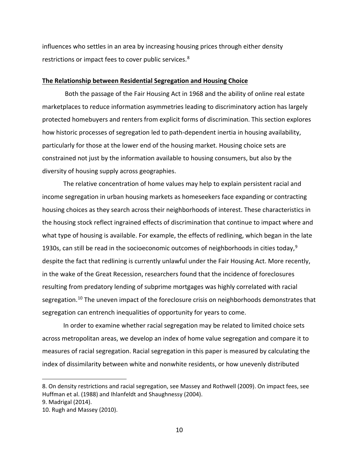influences who settles in an area by increasing housing prices through either density restrictions or impact fees to cover public services.<sup>[8](#page-11-0)</sup>

## **The Relationship between Residential Segregation and Housing Choice**

Both the passage of the Fair Housing Act in 1968 and the ability of online real estate marketplaces to reduce information asymmetries leading to discriminatory action has largely protected homebuyers and renters from explicit forms of discrimination. This section explores how historic processes of segregation led to path-dependent inertia in housing availability, particularly for those at the lower end of the housing market. Housing choice sets are constrained not just by the information available to housing consumers, but also by the diversity of housing supply across geographies.

The relative concentration of home values may help to explain persistent racial and income segregation in urban housing markets as homeseekers face expanding or contracting housing choices as they search across their neighborhoods of interest. These characteristics in the housing stock reflect ingrained effects of discrimination that continue to impact where and what type of housing is available. For example, the effects of redlining, which began in the late 1[9](#page-11-1)30s, can still be read in the socioeconomic outcomes of neighborhoods in cities today,  $9$ despite the fact that redlining is currently unlawful under the Fair Housing Act. More recently, in the wake of the Great Recession, researchers found that the incidence of foreclosures resulting from predatory lending of subprime mortgages was highly correlated with racial segregation.<sup>[10](#page-11-2)</sup> The uneven impact of the foreclosure crisis on neighborhoods demonstrates that segregation can entrench inequalities of opportunity for years to come.

In order to examine whether racial segregation may be related to limited choice sets across metropolitan areas, we develop an index of home value segregation and compare it to measures of racial segregation. Racial segregation in this paper is measured by calculating the index of dissimilarity between white and nonwhite residents, or how unevenly distributed

<span id="page-11-0"></span><sup>8.</sup> On density restrictions and racial segregation, see Massey and Rothwell (2009). On impact fees, see Huffman et al. (1988) and Ihlanfeldt and Shaughnessy (2004).

<span id="page-11-1"></span><sup>9.</sup> Madrigal (2014).

<span id="page-11-2"></span><sup>10.</sup> Rugh and Massey (2010).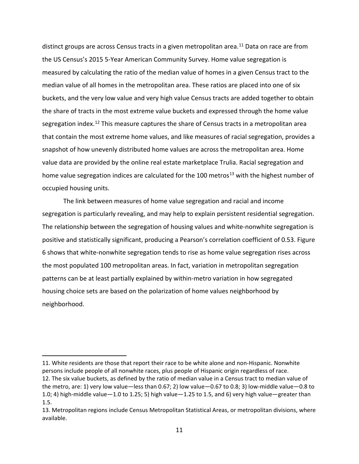distinct groups are across Census tracts in a given metropolitan area.<sup>[11](#page-12-0)</sup> Data on race are from the US Census's 2015 5-Year American Community Survey. Home value segregation is measured by calculating the ratio of the median value of homes in a given Census tract to the median value of all homes in the metropolitan area. These ratios are placed into one of six buckets, and the very low value and very high value Census tracts are added together to obtain the share of tracts in the most extreme value buckets and expressed through the home value segregation index.<sup>[12](#page-12-1)</sup> This measure captures the share of Census tracts in a metropolitan area that contain the most extreme home values, and like measures of racial segregation, provides a snapshot of how unevenly distributed home values are across the metropolitan area. Home value data are provided by the online real estate marketplace Trulia. Racial segregation and home value segregation indices are calculated for the 100 metros<sup>[13](#page-12-2)</sup> with the highest number of occupied housing units.

The link between measures of home value segregation and racial and income segregation is particularly revealing, and may help to explain persistent residential segregation. The relationship between the segregation of housing values and white-nonwhite segregation is positive and statistically significant, producing a Pearson's correlation coefficient of 0.53. Figure 6 shows that white-nonwhite segregation tends to rise as home value segregation rises across the most populated 100 metropolitan areas. In fact, variation in metropolitan segregation patterns can be at least partially explained by within-metro variation in how segregated housing choice sets are based on the polarization of home values neighborhood by neighborhood.

<span id="page-12-1"></span><span id="page-12-0"></span><sup>11.</sup> White residents are those that report their race to be white alone and non-Hispanic. Nonwhite persons include people of all nonwhite races, plus people of Hispanic origin regardless of race. 12. The six value buckets, as defined by the ratio of median value in a Census tract to median value of the metro, are: 1) very low value—less than 0.67; 2) low value—0.67 to 0.8; 3) low-middle value—0.8 to 1.0; 4) high-middle value—1.0 to 1.25; 5) high value—1.25 to 1.5, and 6) very high value—greater than 1.5.

<span id="page-12-2"></span><sup>13.</sup> Metropolitan regions include Census Metropolitan Statistical Areas, or metropolitan divisions, where available.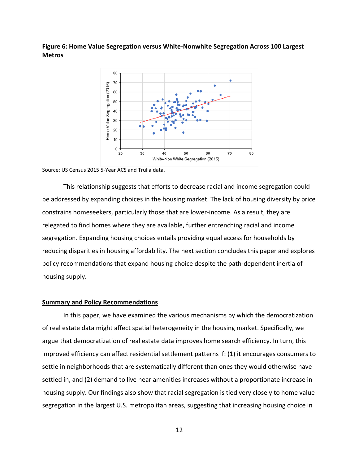**Figure 6: Home Value Segregation versus White-Nonwhite Segregation Across 100 Largest Metros**



#### Source: US Census 2015 5-Year ACS and Trulia data.

This relationship suggests that efforts to decrease racial and income segregation could be addressed by expanding choices in the housing market. The lack of housing diversity by price constrains homeseekers, particularly those that are lower-income. As a result, they are relegated to find homes where they are available, further entrenching racial and income segregation. Expanding housing choices entails providing equal access for households by reducing disparities in housing affordability. The next section concludes this paper and explores policy recommendations that expand housing choice despite the path-dependent inertia of housing supply.

#### **Summary and Policy Recommendations**

In this paper, we have examined the various mechanisms by which the democratization of real estate data might affect spatial heterogeneity in the housing market. Specifically, we argue that democratization of real estate data improves home search efficiency. In turn, this improved efficiency can affect residential settlement patterns if: (1) it encourages consumers to settle in neighborhoods that are systematically different than ones they would otherwise have settled in, and (2) demand to live near amenities increases without a proportionate increase in housing supply. Our findings also show that racial segregation is tied very closely to home value segregation in the largest U.S. metropolitan areas, suggesting that increasing housing choice in

12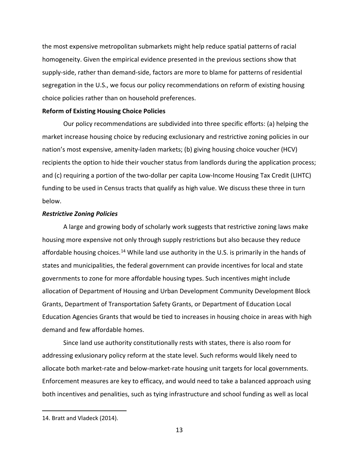the most expensive metropolitan submarkets might help reduce spatial patterns of racial homogeneity. Given the empirical evidence presented in the previous sections show that supply-side, rather than demand-side, factors are more to blame for patterns of residential segregation in the U.S., we focus our policy recommendations on reform of existing housing choice policies rather than on household preferences.

#### **Reform of Existing Housing Choice Policies**

Our policy recommendations are subdivided into three specific efforts: (a) helping the market increase housing choice by reducing exclusionary and restrictive zoning policies in our nation's most expensive, amenity-laden markets; (b) giving housing choice voucher (HCV) recipients the option to hide their voucher status from landlords during the application process; and (c) requiring a portion of the two-dollar per capita Low-Income Housing Tax Credit (LIHTC) funding to be used in Census tracts that qualify as high value. We discuss these three in turn below.

# *Restrictive Zoning Policies*

A large and growing body of scholarly work suggests that restrictive zoning laws make housing more expensive not only through supply restrictions but also because they reduce affordable housing choices.<sup>[14](#page-14-0)</sup> While land use authority in the U.S. is primarily in the hands of states and municipalities, the federal government can provide incentives for local and state governments to zone for more affordable housing types. Such incentives might include allocation of Department of Housing and Urban Development Community Development Block Grants, Department of Transportation Safety Grants, or Department of Education Local Education Agencies Grants that would be tied to increases in housing choice in areas with high demand and few affordable homes.

Since land use authority constitutionally rests with states, there is also room for addressing exlusionary policy reform at the state level. Such reforms would likely need to allocate both market-rate and below-market-rate housing unit targets for local governments. Enforcement measures are key to efficacy, and would need to take a balanced approach using both incentives and penalities, such as tying infrastructure and school funding as well as local

<span id="page-14-0"></span><sup>14.</sup> Bratt and Vladeck (2014).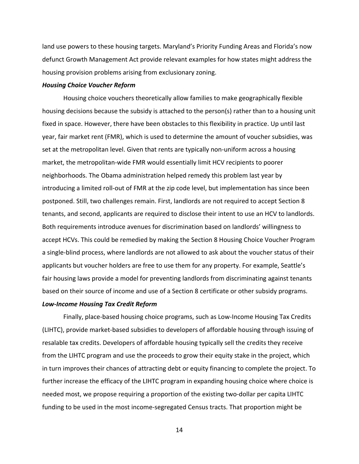land use powers to these housing targets. Maryland's Priority Funding Areas and Florida's now defunct Growth Management Act provide relevant examples for how states might address the housing provision problems arising from exclusionary zoning.

#### *Housing Choice Voucher Reform*

Housing choice vouchers theoretically allow families to make geographically flexible housing decisions because the subsidy is attached to the person(s) rather than to a housing unit fixed in space. However, there have been obstacles to this flexibility in practice. Up until last year, fair market rent (FMR), which is used to determine the amount of voucher subsidies, was set at the metropolitan level. Given that rents are typically non-uniform across a housing market, the metropolitan-wide FMR would essentially limit HCV recipients to poorer neighborhoods. The Obama administration helped remedy this problem last year by introducing a limited roll-out of FMR at the zip code level, but implementation has since been postponed. Still, two challenges remain. First, landlords are not required to accept Section 8 tenants, and second, applicants are required to disclose their intent to use an HCV to landlords. Both requirements introduce avenues for discrimination based on landlords' willingness to accept HCVs. This could be remedied by making the Section 8 Housing Choice Voucher Program a single-blind process, where landlords are not allowed to ask about the voucher status of their applicants but voucher holders are free to use them for any property. For example, Seattle's fair housing laws provide a model for preventing landlords from discriminating against tenants based on their source of income and use of a Section 8 certificate or other subsidy programs.

#### *Low-Income Housing Tax Credit Reform*

Finally, place-based housing choice programs, such as Low-Income Housing Tax Credits (LIHTC), provide market-based subsidies to developers of affordable housing through issuing of resalable tax credits. Developers of affordable housing typically sell the credits they receive from the LIHTC program and use the proceeds to grow their equity stake in the project, which in turn improves their chances of attracting debt or equity financing to complete the project. To further increase the efficacy of the LIHTC program in expanding housing choice where choice is needed most, we propose requiring a proportion of the existing two-dollar per capita LIHTC funding to be used in the most income-segregated Census tracts. That proportion might be

14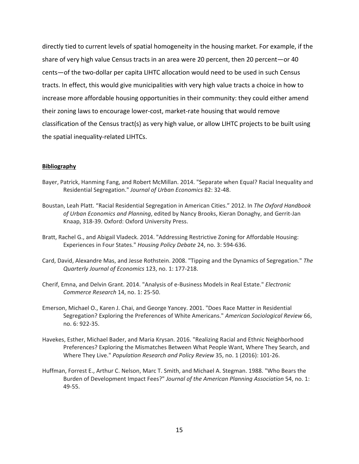directly tied to current levels of spatial homogeneity in the housing market. For example, if the share of very high value Census tracts in an area were 20 percent, then 20 percent—or 40 cents—of the two-dollar per capita LIHTC allocation would need to be used in such Census tracts. In effect, this would give municipalities with very high value tracts a choice in how to increase more affordable housing opportunities in their community: they could either amend their zoning laws to encourage lower-cost, market-rate housing that would remove classification of the Census tract(s) as very high value, or allow LIHTC projects to be built using the spatial inequality-related LIHTCs.

#### **Bibliography**

- Bayer, Patrick, Hanming Fang, and Robert McMillan. 2014. "Separate when Equal? Racial Inequality and Residential Segregation." *Journal of Urban Economics* 82: 32-48.
- Boustan, Leah Platt. "Racial Residential Segregation in American Cities." 2012. In *The Oxford Handbook of Urban Economics and Planning*, edited by Nancy Brooks, Kieran Donaghy, and Gerrit-Jan Knaap, 318-39. Oxford: Oxford University Press.
- Bratt, Rachel G., and Abigail Vladeck. 2014. "Addressing Restrictive Zoning for Affordable Housing: Experiences in Four States." *Housing Policy Debate* 24, no. 3: 594-636.
- Card, David, Alexandre Mas, and Jesse Rothstein. 2008. "Tipping and the Dynamics of Segregation." *The Quarterly Journal of Economics* 123, no. 1: 177-218.
- Cherif, Emna, and Delvin Grant. 2014. "Analysis of e-Business Models in Real Estate." *Electronic Commerce Research* 14, no. 1: 25-50.
- Emerson, Michael O., Karen J. Chai, and George Yancey. 2001. "Does Race Matter in Residential Segregation? Exploring the Preferences of White Americans." *American Sociological Review* 66, no. 6: 922-35.
- Havekes, Esther, Michael Bader, and Maria Krysan. 2016. "Realizing Racial and Ethnic Neighborhood Preferences? Exploring the Mismatches Between What People Want, Where They Search, and Where They Live." *Population Research and Policy Review* 35, no. 1 (2016): 101-26.
- Huffman, Forrest E., Arthur C. Nelson, Marc T. Smith, and Michael A. Stegman. 1988. "Who Bears the Burden of Development Impact Fees?" *Journal of the American Planning Association* 54, no. 1: 49-55.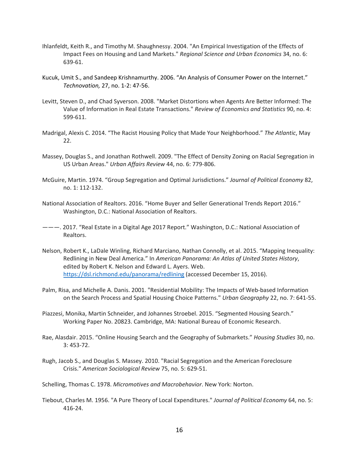- Ihlanfeldt, Keith R., and Timothy M. Shaughnessy. 2004. "An Empirical Investigation of the Effects of Impact Fees on Housing and Land Markets." *Regional Science and Urban Economics* 34, no. 6: 639-61.
- Kucuk, Umit S., and Sandeep Krishnamurthy. 2006. "An Analysis of Consumer Power on the Internet." *Technovation,* 27, no. 1-2: 47-56.
- Levitt, Steven D., and Chad Syverson. 2008. "Market Distortions when Agents Are Better Informed: The Value of Information in Real Estate Transactions." *Review of Economics and Statistics* 90, no. 4: 599-611.
- Madrigal, Alexis C. 2014. "The Racist Housing Policy that Made Your Neighborhood." *The Atlantic*, May 22.
- Massey, Douglas S., and Jonathan Rothwell. 2009. "The Effect of Density Zoning on Racial Segregation in US Urban Areas." *Urban Affairs Review* 44, no. 6: 779-806.
- McGuire, Martin. 1974. "Group Segregation and Optimal Jurisdictions." *Journal of Political Economy* 82, no. 1: 112-132.
- National Association of Realtors. 2016. "Home Buyer and Seller Generational Trends Report 2016." Washington, D.C.: National Association of Realtors.
- ———. 2017. "Real Estate in a Digital Age 2017 Report." Washington, D.C.: National Association of Realtors.
- Nelson, Robert K., LaDale Winling, Richard Marciano, Nathan Connolly, et al. 2015. "Mapping Inequality: Redlining in New Deal America." In *American Panorama: An Atlas of United States History*, edited by Robert K. Nelson and Edward L. Ayers. Web. [https://dsl.richmond.edu/panorama/redlining \(](https://dsl.richmond.edu/panorama/redlining)accessed December 15, 2016).
- Palm, Risa, and Michelle A. Danis. 2001. "Residential Mobility: The Impacts of Web-based Information on the Search Process and Spatial Housing Choice Patterns." *Urban Geography* 22, no. 7: 641-55.
- Piazzesi, Monika, Martin Schneider, and Johannes Stroebel. 2015. "Segmented Housing Search." Working Paper No. 20823. Cambridge, MA: National Bureau of Economic Research.
- Rae, Alasdair. 2015. "Online Housing Search and the Geography of Submarkets." *Housing Studies* 30, no. 3: 453-72.
- Rugh, Jacob S., and Douglas S. Massey. 2010. "Racial Segregation and the American Foreclosure Crisis." *American Sociological Review* 75, no. 5: 629-51.

Schelling, Thomas C. 1978. *Micromotives and Macrobehavior*. New York: Norton.

Tiebout, Charles M. 1956. "A Pure Theory of Local Expenditures." *Journal of Political Economy* 64, no. 5: 416-24.